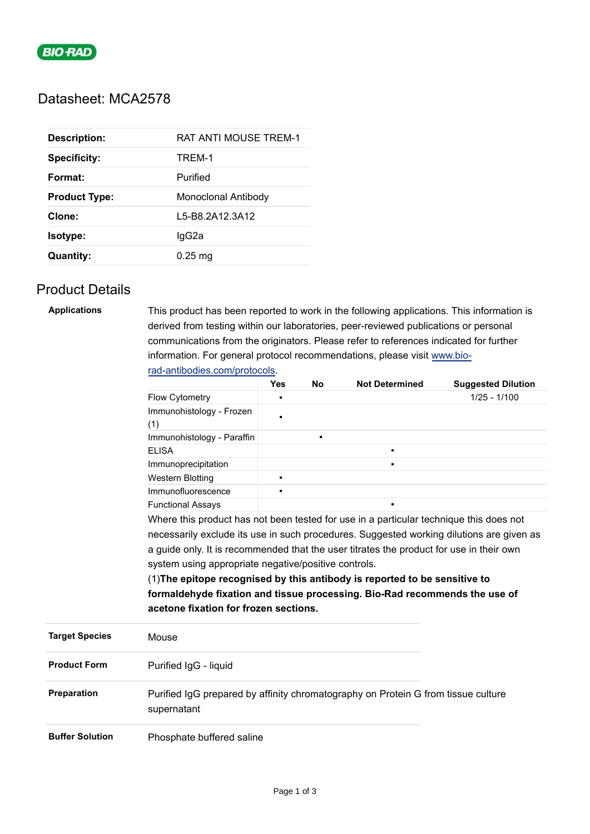

# Datasheet: MCA2578

| <b>Description:</b>  | <b>RAT ANTI MOUSE TREM-1</b> |
|----------------------|------------------------------|
| <b>Specificity:</b>  | TREM-1                       |
| Format:              | Purified                     |
| <b>Product Type:</b> | Monoclonal Antibody          |
| Clone:               | L5-B8.2A12.3A12              |
| Isotype:             | lgG2a                        |
| Quantity:            | $0.25$ mg                    |

### Product Details

| <b>Applications</b>    | This product has been reported to work in the following applications. This information is<br>derived from testing within our laboratories, peer-reviewed publications or personal<br>communications from the originators. Please refer to references indicated for further                                                                                                                              |                               |           |                       |                           |  |                                       |
|------------------------|---------------------------------------------------------------------------------------------------------------------------------------------------------------------------------------------------------------------------------------------------------------------------------------------------------------------------------------------------------------------------------------------------------|-------------------------------|-----------|-----------------------|---------------------------|--|---------------------------------------|
|                        | information. For general protocol recommendations, please visit www.bio-                                                                                                                                                                                                                                                                                                                                |                               |           |                       |                           |  |                                       |
|                        |                                                                                                                                                                                                                                                                                                                                                                                                         | rad-antibodies.com/protocols. |           |                       |                           |  |                                       |
|                        |                                                                                                                                                                                                                                                                                                                                                                                                         | <b>Yes</b>                    | <b>No</b> | <b>Not Determined</b> | <b>Suggested Dilution</b> |  |                                       |
|                        | Flow Cytometry                                                                                                                                                                                                                                                                                                                                                                                          | F                             |           |                       | $1/25 - 1/100$            |  |                                       |
|                        | Immunohistology - Frozen<br>(1)                                                                                                                                                                                                                                                                                                                                                                         | n                             |           |                       |                           |  |                                       |
|                        | Immunohistology - Paraffin                                                                                                                                                                                                                                                                                                                                                                              |                               |           |                       |                           |  |                                       |
|                        | <b>ELISA</b>                                                                                                                                                                                                                                                                                                                                                                                            |                               |           | $\blacksquare$        |                           |  |                                       |
|                        | Immunoprecipitation                                                                                                                                                                                                                                                                                                                                                                                     |                               |           | $\blacksquare$        |                           |  |                                       |
|                        | <b>Western Blotting</b>                                                                                                                                                                                                                                                                                                                                                                                 | $\blacksquare$                |           |                       |                           |  |                                       |
|                        | Immunofluorescence                                                                                                                                                                                                                                                                                                                                                                                      |                               |           |                       |                           |  |                                       |
|                        | <b>Functional Assays</b>                                                                                                                                                                                                                                                                                                                                                                                |                               |           |                       |                           |  |                                       |
|                        | Where this product has not been tested for use in a particular technique this does not                                                                                                                                                                                                                                                                                                                  |                               |           |                       |                           |  |                                       |
|                        | necessarily exclude its use in such procedures. Suggested working dilutions are given as<br>a guide only. It is recommended that the user titrates the product for use in their own<br>system using appropriate negative/positive controls.<br>(1) The epitope recognised by this antibody is reported to be sensitive to<br>formaldehyde fixation and tissue processing. Bio-Rad recommends the use of |                               |           |                       |                           |  |                                       |
|                        |                                                                                                                                                                                                                                                                                                                                                                                                         |                               |           |                       |                           |  |                                       |
|                        |                                                                                                                                                                                                                                                                                                                                                                                                         |                               |           |                       |                           |  |                                       |
|                        |                                                                                                                                                                                                                                                                                                                                                                                                         |                               |           |                       |                           |  |                                       |
|                        |                                                                                                                                                                                                                                                                                                                                                                                                         |                               |           |                       |                           |  | acetone fixation for frozen sections. |
| <b>Target Species</b>  | Mouse                                                                                                                                                                                                                                                                                                                                                                                                   |                               |           |                       |                           |  |                                       |
| <b>Product Form</b>    | Purified IgG - liquid                                                                                                                                                                                                                                                                                                                                                                                   |                               |           |                       |                           |  |                                       |
| Preparation            | Purified IgG prepared by affinity chromatography on Protein G from tissue culture<br>supernatant                                                                                                                                                                                                                                                                                                        |                               |           |                       |                           |  |                                       |
| <b>Buffer Solution</b> | Phosphate buffered saline                                                                                                                                                                                                                                                                                                                                                                               |                               |           |                       |                           |  |                                       |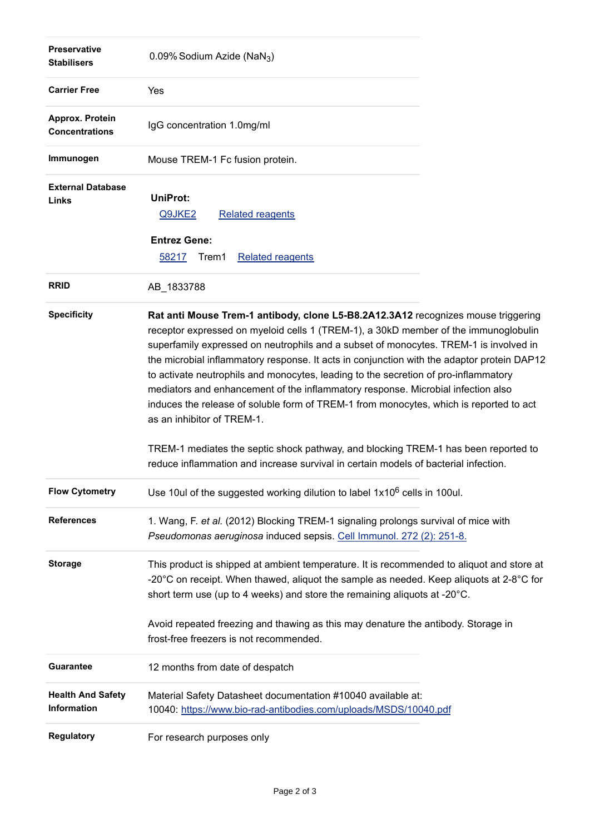| <b>Preservative</b><br><b>Stabilisers</b> | 0.09% Sodium Azide (NaN <sub>3</sub> )                                                                                                                                                                                                                                                                                                                                                                                                                                                                                                                                                                                                                                                                                                                   |  |  |  |
|-------------------------------------------|----------------------------------------------------------------------------------------------------------------------------------------------------------------------------------------------------------------------------------------------------------------------------------------------------------------------------------------------------------------------------------------------------------------------------------------------------------------------------------------------------------------------------------------------------------------------------------------------------------------------------------------------------------------------------------------------------------------------------------------------------------|--|--|--|
| <b>Carrier Free</b>                       | Yes                                                                                                                                                                                                                                                                                                                                                                                                                                                                                                                                                                                                                                                                                                                                                      |  |  |  |
| Approx. Protein<br><b>Concentrations</b>  | IgG concentration 1.0mg/ml                                                                                                                                                                                                                                                                                                                                                                                                                                                                                                                                                                                                                                                                                                                               |  |  |  |
| Immunogen                                 | Mouse TREM-1 Fc fusion protein.                                                                                                                                                                                                                                                                                                                                                                                                                                                                                                                                                                                                                                                                                                                          |  |  |  |
| <b>External Database</b><br>Links         | UniProt:<br><b>Related reagents</b><br>Q9JKE2<br><b>Entrez Gene:</b><br>58217<br>Trem1<br><b>Related reagents</b>                                                                                                                                                                                                                                                                                                                                                                                                                                                                                                                                                                                                                                        |  |  |  |
| <b>RRID</b>                               | AB_1833788                                                                                                                                                                                                                                                                                                                                                                                                                                                                                                                                                                                                                                                                                                                                               |  |  |  |
| <b>Specificity</b>                        | Rat anti Mouse Trem-1 antibody, clone L5-B8.2A12.3A12 recognizes mouse triggering<br>receptor expressed on myeloid cells 1 (TREM-1), a 30kD member of the immunoglobulin<br>superfamily expressed on neutrophils and a subset of monocytes. TREM-1 is involved in<br>the microbial inflammatory response. It acts in conjunction with the adaptor protein DAP12<br>to activate neutrophils and monocytes, leading to the secretion of pro-inflammatory<br>mediators and enhancement of the inflammatory response. Microbial infection also<br>induces the release of soluble form of TREM-1 from monocytes, which is reported to act<br>as an inhibitor of TREM-1.<br>TREM-1 mediates the septic shock pathway, and blocking TREM-1 has been reported to |  |  |  |
|                                           | reduce inflammation and increase survival in certain models of bacterial infection.                                                                                                                                                                                                                                                                                                                                                                                                                                                                                                                                                                                                                                                                      |  |  |  |
| <b>Flow Cytometry</b>                     | Use 10ul of the suggested working dilution to label 1x10 <sup>6</sup> cells in 100ul.                                                                                                                                                                                                                                                                                                                                                                                                                                                                                                                                                                                                                                                                    |  |  |  |
| <b>References</b>                         | 1. Wang, F. et al. (2012) Blocking TREM-1 signaling prolongs survival of mice with<br>Pseudomonas aeruginosa induced sepsis. Cell Immunol. 272 (2): 251-8.                                                                                                                                                                                                                                                                                                                                                                                                                                                                                                                                                                                               |  |  |  |
| <b>Storage</b>                            | This product is shipped at ambient temperature. It is recommended to aliquot and store at<br>-20 $^{\circ}$ C on receipt. When thawed, aliquot the sample as needed. Keep aliquots at 2-8 $^{\circ}$ C for<br>short term use (up to 4 weeks) and store the remaining aliquots at -20°C.                                                                                                                                                                                                                                                                                                                                                                                                                                                                  |  |  |  |
|                                           | Avoid repeated freezing and thawing as this may denature the antibody. Storage in<br>frost-free freezers is not recommended.                                                                                                                                                                                                                                                                                                                                                                                                                                                                                                                                                                                                                             |  |  |  |
| <b>Guarantee</b>                          | 12 months from date of despatch                                                                                                                                                                                                                                                                                                                                                                                                                                                                                                                                                                                                                                                                                                                          |  |  |  |
| <b>Health And Safety</b><br>Information   | Material Safety Datasheet documentation #10040 available at:<br>10040: https://www.bio-rad-antibodies.com/uploads/MSDS/10040.pdf                                                                                                                                                                                                                                                                                                                                                                                                                                                                                                                                                                                                                         |  |  |  |
| <b>Regulatory</b>                         | For research purposes only                                                                                                                                                                                                                                                                                                                                                                                                                                                                                                                                                                                                                                                                                                                               |  |  |  |